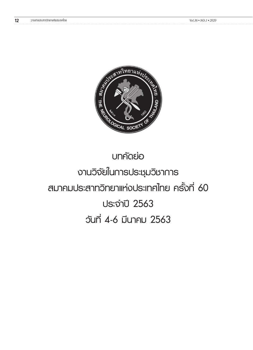

# **บทคัดย่อ งานวิจัยในการประชุมวิชาการ สมาคมประสาทวิทยาแห่งประเทศไทย ครั้งที่ 60 ประจำ ปี 2563 วันที่ 4-6 มีนาคม 2563**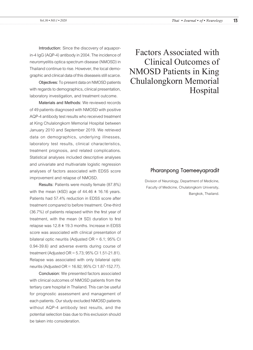**Introduction:** Since the discovery of aquaporin-4 IgG (AQP-4) antibody in 2004. The incidence of neuromyelitis optica spectrum disease (NMOSD) in Thailand continue to rise. However, the local demographic and clinical data of this diseaseis still scarce.

**Objectives:** To present data on NMOSD patients with regards to demographics, clinical presentation, laboratory investigation, and treatment outcome.

**Materials and Methods:** We reviewed records of 49 patients diagnosed with NMOSD with positive AQP-4 antibody test results who received treatment at King Chulalongkorn Memorial Hospital between January 2010 and September 2019. We retrieved data on demographics, underlying illnesses, laboratory test results, clinical characteristics, treatment prognosis, and related complications. Statistical analyses included descriptive analyses and univariate and multivariate logistic regression analyses of factors associated with EDSS score improvement and relapse of NMOSD.

**Results:** Patients were mostly female (87.8%) with the mean  $(\pm SD)$  age of 44.46  $\pm$  16.16 years. Patients had 57.4% reduction in EDSS score after treatment compared to before treatment. One-third (36.7%) of patients relapsed within the first year of treatment, with the mean  $(\pm$  SD) duration to first relapse was  $12.8 \pm 19.3$  months. Increase in EDSS score was associated with clinical presentation of bilateral optic neuritis (Adjusted OR = 6.1; 95% CI 0.94-39.6) and adverse events during course of treatment (Adjusted OR = 5.73; 95% CI 1.51-21.81). Relapse was associated with only bilateral optic neuritis (Adjusted OR = 16.92; 95% CI 1.87-152.77).

**Conclusion:** We presented factors associated with clinical outcomes of NMOSD patients from the tertiary care hospital in Thailand. This can be useful for prognostic assessment and management of each patients. Our study excluded NMOSD patients without AQP-4 antibody test results, and the potential selection bias due to this exclusion should be taken into consideration.

Factors Associated with Clinical Outcomes of NMOSD Patients in King Chulalongkorn Memorial Hospital

### Pharanpong Taemeeyapradit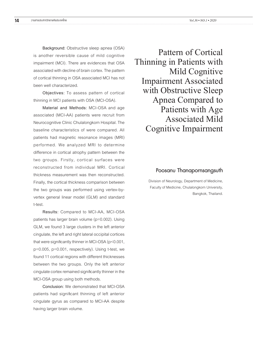**Background:** Obstructive sleep apnea (OSA) is another reversible cause of mild cognitive impairment (MCI). There are evidences that OSA associated with decline of brain cortex. The pattern of cortical thinning in OSA associated MCI has not been well characterized.

**Objectives:** To assess pattern of cortical thinning in MCI patients with OSA (MCI-OSA).

**Material and Methods:** MCI-OSA and age associated (MCI-AA) patients were recruit from Neurocognitive Clinic Chulalongkorn Hospital. The baseline characteristics of were compared. All patients had magnetic resonance images (MRI) performed. We analyzed MRI to determine difference in cortical atrophy pattern between the two groups. Firstly, cortical surfaces were reconstructed from individual MRI. Cortical thickness measurement was then reconstructed. Finally, the cortical thickness comparison between the two groups was performed using vertex-byvertex general linear model (GLM) and standard t-test.

**Results:** Compared to MCI-AA, MCI-OSA patients has larger brain volume (p=0.002). Using GLM, we found 3 large clusters in the left anterior cingulate, the left and right lateral occipital cortices that were significantly thinner in MCI-OSA (p<0.001, p=0.005, p=0.001, respectively). Using t-test, we found 11 cortical regions with different thicknesses between the two groups. Only the left anterior cingulate cortex remained significantly thinner in the MCI-OSA group using both methods.

**Conclusion:** We demonstrated that MCI-OSA patients had significant thinning of left anterior cingulate gyrus as compared to MCI-AA despite having larger brain volume.

Pattern of Cortical Thinning in Patients with Mild Cognitive Impairment Associated with Obstructive Sleep Apnea Compared to Patients with Age Associated Mild Cognitive Impairment

#### Poosanu Thanapornsangsuth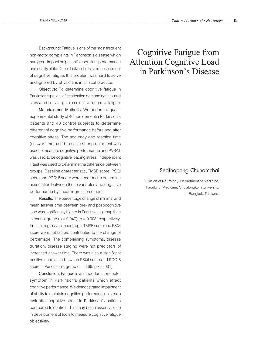**Background:** Fatigue is one of the most frequent non-motor complaints in Parkinson's disease which had great impact on patient's cognition, performance and quality of life. Due to lack of objective measurement of cognitive fatigue, this problem was hard to solve and ignored by physicians in clinical practice.

**Objective:** To determine cognitive fatigue in Parkinson's patient after attention demanding task and stress and to investigate predictors of cognitive fatigue.

**Materials and Methods:** We perform a quasiexperimental study of 40 non dementia Parkinson's patients and 40 control subjects to determine different of cognitive performance before and after cognitive stress. The accuracy and reaction time (answer time) used to solve stroop color test was used to measure cognitive performance and PVSAT was used to be cognitive loading stress. Independent T test was used to determine the difference between groups. Baseline characteristic, TMSE score, PSQI score and PDQ-8 score were recorded to determine association between these variables and cognitive performance by linear regression model.

**Results:** The percentage change of minimal and mean answer time between pre- and post-cognitive load was significantly higher in Parkinson's group than in control group ( $p = 0.047$ ) ( $p = 0.008$ ) respectively. In linear regression model, age, TMSE score and PSQI score were not factors contributed to the change of percentage. The complaining symptoms, disease duration, disease staging were not predictors of increased answer time. There was also a significant positive correlation between PSQI score and PDQ-8 score in Parkinson's group ( $r = 0.66$ ,  $p < 0.001$ ).

**Conclusion:** Fatigue is an important non-motor symptom in Parkinson's patients which affect cognitive performance. We demonstrated impairment of ability to maintain cognitive performance in stroop task after cognitive stress in Parkinson's patients compared to controls. This may be an essential clue in development of tools to measure cognitive fatigue objectively.

# Cognitive Fatigue from Attention Cognitive Load in Parkinson's Disease

### Sedthapong Chunamchai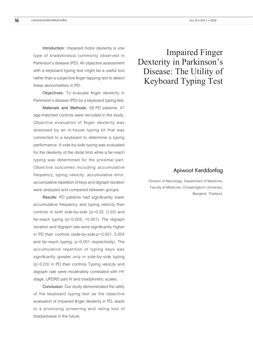**Introduction:** Impaired motor dexterity is one type of bradykinesia commonly observed in Parkinson's disease (PD). An objective assessment with a keyboard typing test might be a useful tool rather than a subjective finger tapping test to detect these abnormalities in PD.

**Objectives:** To evaluate finger dexterity in Parkinson's disease (PD) by a keyboard typing test.

**Materials and Methods:** 59 PD patients, 47 age-matched controls were recruited in the study. Objective evaluation of finger dexterity was assessed by an in-house typing kit that was connected to a keyboard to determine a typing performance. A side-by-side typing was evaluated for the dexterity of the distal limb while a far-reach typing was determined for the proximal part. Objective outcomes including accumulative frequency, typing velocity, accumulative error, accumulative repetition of keys and digraph duration were analyzed and compared between groups.

**Results:** PD patients had significantly lower accumulative frequency and typing velocity than controls in both side-by-side (p=0.02, 0.03) and far-reach typing (p=0.003, <0.001). The digraph duration and digraph rate were significantly higher in PD than controls (side-by-side;p=0.001, 0.004 and far-reach typing; p<0.001 respectively). The accumulative repetition of typing keys was significantly greater only in side-by-side typing (p=0.03) in PD than controls Typing velocity and digraph rate were moderately correlated with HY stage, UPDRS part III and bradykinetic scales.

**Conclusion:** Our study demonstrated the utility of the keyboard typing test as the objective evaluation of impaired finger dexterity in PD, leads to a promising screening and rating tool of bradykinesia in the future.

# Impaired Finger Dexterity in Parkinson's Disease: The Utility of Keyboard Typing Test

### Apiwoot Kerddonfag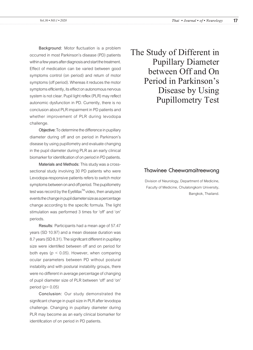**Background:** Motor fluctuation is a problem occurred in most Parkinson's disease (PD) patients within a few years after diagnosis and start the treatment. Effect of medication can be varied between good symptoms control (on period) and return of motor symptoms (off period). Whereas it reduces the motor symptoms efficiently, its effect on autonomous nervous system is not clear. Pupil light reflex (PLR) may reflect autonomic dysfunction in PD. Currently, there is no conclusion about PLR impairment in PD patients and whether improvement of PLR during levodopa challenge.

**Objective:** To determine the difference in pupillary diameter during off and on period in Parkinson's disease by using pupillometry and evaluate changing in the pupil diameter during PLR as an early clinical biomarker for identification of on period in PD patients.

**Materials and Methods:** This study was a crosssectional study involving 30 PD patients who were Levodopa-responsive patients refers to switch motor symptoms between on and off period. The pupillometry test was record by the EyeMax<sup>™</sup> video, then analyzed events the change in pupil diameter size as a percentage change according to the specific formula. The light stimulation was performed 3 times for 'off' and 'on' periods.

**Results:** Participants had a mean age of 57.47 years (SD 10.97) and a mean disease duration was 8.7 years (SD 8.31). The significant different in pupillary size were identified between off and on period for both eyes (*p* < 0.05). However, when comparing ocular parameters between PD without postural instability and with postural instability groups, there were no different in average percentage of changing of pupil diameter size of PLR between 'off' and 'on' period (*p*> 0.05)

**Conclusion:** Our study demonstrated the significant change in pupil size in PLR after levodopa challenge. Changing in pupillary diameter during PLR may become as an early clinical biomarker for identification of on period in PD patients.

The Study of Different in Pupillary Diameter between Off and On Period in Parkinson's Disease by Using Pupillometry Test

### Thawinee Cheewamaitreewong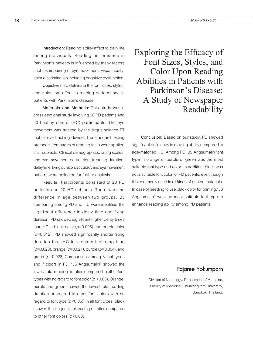**Introduction:** Reading ability affect to daily life among individuals. Reading performance in Parkinson's patients is influenced by many factors such as impairing of eye movement, visual acuity, color discrimination including cognitive dysfunction.

**Objectives:** To delineate the font sizes, styles, and color that effect to reading performance in patients with Parkinson's disease.

**Materials and Methods:** This study was a cross-sectional study involving 20 PD patients and 20 healthy control (HC) participants. The eye movement was tracked by the Argus science ET mobile eye tracking device. The standard testing protocols (ten pages of reading task) were applied in all subjects. Clinical demographics, rating scales, and eye movement parameters (reading duration, delay time, fixing duration, accuracy and eye movement pattern) were collected for further analysis.

**Results:** Participants consisted of 20 PD patients and 20 HC subjects. There were no difference in age between two groups. By comparing among PD and HC were identified the significant difference in delay time and fixing duration. PD showed significant higher delay times than HC in black color (*p*=0.006) and purple color (*p*=0.012). PD showed significantly shorter fixing duration than HC in 4 colors including blue (*p*=0.028), orange (*p*=0.021), purple (*p*=0.004), and green (*p*=0.028).Comparison among 3 font types and 7 colors in PD, "JS Angsumalin" showed the lowest total reading duration compared to other font types with no regard to font color (*p* <0.05). Orange, purple and green showed the lowest total reading duration compared to other font colors with no regard to font type (*p*<0.05). In all font types, black showed the longest total reading duration compared to other font colors (*p*<0.05).

Exploring the Efficacy of Font Sizes, Styles, and Color Upon Reading Abilities in Patients with Parkinson's Disease: A Study of Newspaper Readability

**Conclusion:** Based on our study, PD showed significant deficiency in reading ability compared to age-matched HC. Among PD, JS Angsumalin font type in orange or purple or green was the most suitable font type and color. In addition, black was not a suitable font color for PD patients, even though it is commonly used in all kinds of printed materials. In case of needing to use black color for printing,"JS Angsumalin" was the most suitable font type to enhance reading ability among PD patients.

### Pajaree Yokumporn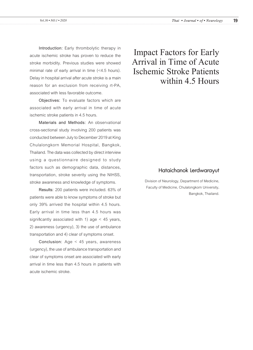**Introduction:** Early thrombolytic therapy in acute ischemic stroke has proven to reduce the stroke morbidity. Previous studies were showed minimal rate of early arrival in time (<4.5 hours). Delay in hospital arrival after acute stroke is a main reason for an exclusion from receiving rt-PA, associated with less favorable outcome.

**Objectives:** To evaluate factors which are associated with early arrival in time of acute ischemic stroke patients in 4.5 hours.

**Materials and Methods:** An observational cross-sectional study involving 200 patients was conducted between July to December 2019 at King Chulalongkorn Memorial Hospital, Bangkok, Thailand. The data was collected by direct interview using a questionnaire designed to study factors such as demographic data, distances, transportation, stroke severity using the NIHSS, stroke awareness and knowledge of symptoms.

**Results:** 200 patients were included. 63% of patients were able to know symptoms of stroke but only 39% arrived the hospital within 4.5 hours. Early arrival in time less than 4.5 hours was significantly associated with 1) age < 45 years, 2) awareness (urgency), 3) the use of ambulance transportation and 4) clear of symptoms onset.

**Conclusion:** Age < 45 years, awareness (urgency), the use of ambulance transportation and clear of symptoms onset are associated with early arrival in time less than 4.5 hours in patients with acute ischemic stroke.

# Impact Factors for Early Arrival in Time of Acute Ischemic Stroke Patients within 4.5 Hours

### Hataichanok Lerdwarayut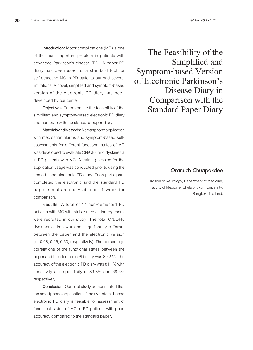**Introduction:** Motor complications (MC) is one of the most important problem in patients with advanced Parkinson's disease (PD). A paper PD diary has been used as a standard tool for self-detecting MC in PD patients but had several limitations. A novel, simplified and symptom-based version of the electronic PD diary has been developed by our center.

**Objectives:** To determine the feasibility of the simplified and symptom-based electronic PD diary and compare with the standard paper diary.

**Materials and Methods:** A smartphone application with medication alarms and symptom-based selfassessments for different functional states of MC was developed to evaluate ON/OFF and dyskinesia in PD patients with MC. A training session for the application usage was conducted prior to using the home-based electronic PD diary. Each participant completed the electronic and the standard PD paper simultaneously at least 1 week for comparison.

**Results:** A total of 17 non-demented PD patients with MC with stable medication regimens were recruited in our study. The total ON/OFF/ dyskinesia time were not significantly different between the paper and the electronic version (p=0.08, 0.06, 0.50, respectively). The percentage correlations of the functional states between the paper and the electronic PD diary was 80.2 %. The accuracy of the electronic PD diary was 81.1% with sensitivity and specificity of 89.8% and 68.5% respectively.

**Conclusion:** Our pilot study demonstrated that the smartphone application of the symptom- based electronic PD diary is feasible for assessment of functional states of MC in PD patients with good accuracy compared to the standard paper.

The Feasibility of the Simplified and Symptom-based Version of Electronic Parkinson's Disease Diary in Comparison with the Standard Paper Diary

### Oranuch Chuapakdee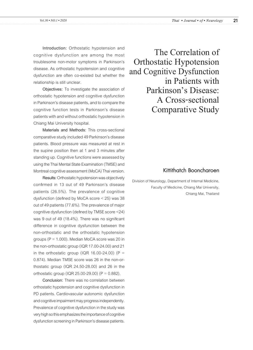**Introduction:** Orthostatic hypotension and cognitive dysfunction are among the most troublesome non-motor symptoms in Parkinson's disease. As orthostatic hypotension and cognitive dysfunction are often co-existed but whether the relationship is still unclear.

**Objectives:** To investigate the association of orthostatic hypotension and cognitive dysfunction in Parkinson's disease patients, and to compare the cognitive function tests in Parkinson's disease patients with and without orthostatic hypotension in Chiang Mai University hospital.

**Materials and Methods:** This cross-sectional comparative study included 49 Parkinson's disease patients. Blood pressure was measured at rest in the supine position then at 1 and 3 minutes after standing up. Cognitive functions were assessed by using the Thai Mental State Examination (TMSE) and Montreal cognitive assessment (MoCA) Thai version.

**Results:** Orthostatic hypotension was objectively confirmed in 13 out of 49 Parkinson's disease patients (26.5%). The prevalence of cognitive dysfunction (defined by MoCA score < 25) was 38 out of 49 patients (77.6%). The prevalence of major cognitive dysfunction (defined by TMSE score <24) was 9 out of 49 (18.4%). There was no significant difference in cognitive dysfunction between the non-orthostatic and the orthostatic hypotension groups ( $P = 1.000$ ). Median MoCA score was 20 in the non-orthostatic group (IQR 17.00-24.00) and 21 in the orthostatic group (IQR 16.00-24.00) ( $P =$ 0.874). Median TMSE score was 26 in the non-orthostatic group (IQR 24.50-28.00) and 26 in the orthostatic group (IQR 25.00-29.00) ( $P = 0.882$ ).

**Conclusion:** There was no correlation between orthostatic hypotension and cognitive dysfunction in PD patients. Cardiovascular autonomic dysfunction and cognitive impairment may progress independently. Prevalence of cognitive dysfunction in the study was very high so this emphasizes the importance of cognitive dysfunction screening in Parkinson's disease patients.

The Correlation of Orthostatic Hypotension and Cognitive Dysfunction in Patients with Parkinson's Disease: A Cross-sectional Comparative Study

# Kittithatch Booncharoen

Division of Neurology, Department of Internal Medicine, Faculty of Medicine, Chiang Mai University, Chiang Mai, Thailand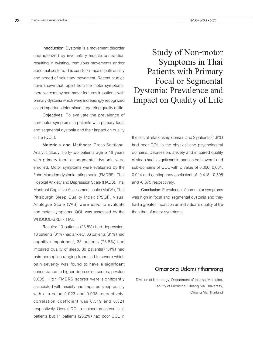**Introduction:** Dystonia is a movement disorder characterized by involuntary muscle contraction resulting in twisting, tremulous movements and/or abnormal posture. This condition impairs both quality and speed of voluntary movement. Recent studies have shown that, apart from the motor symptoms, there were many non-motor features in patients with primary dystonia which were increasingly recognized as an important determinant regarding quality of life.

**Objectives:** To evaluate the prevalence of non-motor symptoms in patients with primary focal and segmental dystonia and their impact on quality of life (QOL).

**Materials and Methods:** Cross-Sectional Analytic Study. Forty-two patients age ≥ 18 years with primary focal or segmental dystonia were enrolled. Motor symptoms were evaluated by the Fahn Marsden dystonia rating scale (FMDRS). Thai Hospital Anxiety and Depression Scale (HADS), Thai Montreal Cognitive Assessment scale (MoCA), Thai Pittsburgh Sleep Quality Index (PSQI), Visual Analogue Scale (VAS) were used to evaluate non-motor symptoms. QOL was assessed by the WHOQOL-BREF-THAI.

**Results:** 10 patients (23.8%) had depression, 13 patients (31%) had anxiety, 36 patients (81%) had cognitive impairment, 33 patients (78.8%) had impaired quality of sleep, 30 patients(71.4%) had pain perception ranging from mild to severe which pain severity was found to have a significant concordance to higher depression scores, p value 0.005. High FMDRS scores were significantly associated with anxiety and impaired sleep quality with a p value 0.023 and 0.038 respectively, correlation coefficient was 0.349 and 0.321 respectively. Overall QOL remained preserved in all patients but 11 patients (26.2%) had poor QOL in

Study of Non-motor Symptoms in Thai Patients with Primary Focal or Segmental Dystonia: Prevalence and Impact on Quality of Life

the social relationship domain and 2 patients (4.8%) had poor QOL in the physical and psychological domains. Depression, anxiety and impaired quality of sleep had a significant impact on both overall and sub-domains of QOL with p value of 0.006, 0.001, 0.014 and contingency coefficient of -0.418, -0.508 and -0.375 respectively.

**Conclusion:** Prevalence of non-motor symptoms was high in focal and segmental dystonia and they had a greater impact on an individual's quality of life than that of motor symptoms.

### Ornanong Udomsirithamrong

Division of Neurology, Department of Internal Medicine, Faculty of Medicine, Chiang Mai University, Chiang Mai,Thailand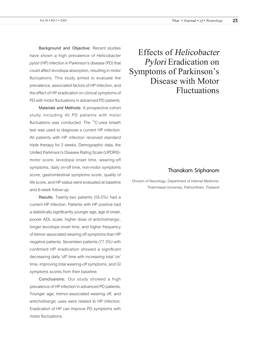**Background and Objective:** Recent studies have shown a high prevalence of *Helicobacter pylori* (HP) infection in Parkinson's disease (PD) that could affect levodopa absorption, resulting in motor fluctuations. This study aimed to evaluate the prevalence, associated factors of HP infection, and the effect of HP eradication on clinical symptoms of PD with motor fluctuations in advanced PD patients.

**Materials and Methods:** A prospective cohort study including 40 PD patients with motor fluctuations was conducted. The <sup>13</sup>C-urea breath test was used to diagnose a current HP infection. All patients with HP infection received standard triple therapy for 2 weeks. Demographic data, the Unified Parkinson's Disease Rating Scale (UPDRS) motor score, levodopa onset time, wearing-off symptoms, daily on-off time, non-motor symptoms score, gastrointestinal symptoms score, quality of life score, and HP status were evaluated at baseline and 6-week follow-up.

**Results:** Twenty-two patients (55.0%) had a current HP infection. Patients with HP positive had a statistically significantly younger age, age of onset, poorer ADL scale, higher dose of anticholinergic, longer levodopa onset time, and higher frequency of tremor-associated wearing off symptoms than HP negative patients. Seventeen patients (77.3%) with confirmed HP eradication showed a significant decreasing daily 'off' time with increasing total 'on' time, improving total wearing-off symptoms, and GI symptoms scores from their baseline.

**Conclusions:** Our study showed a high prevalence of HP infection in advanced PD patients. Younger age, tremor-associated wearing off, and anticholinergic uses were related to HP infection. Eradication of HP can improve PD symptoms with motor fluctuations.

Effects of *Helicobacter Pylori* Eradication on Symptoms of Parkinson's Disease with Motor Fluctuations

### Thanakarn Sriphanom

Division of Neurology, Department of Internal Medicine, Thammasat University, Pathumthani, Thailand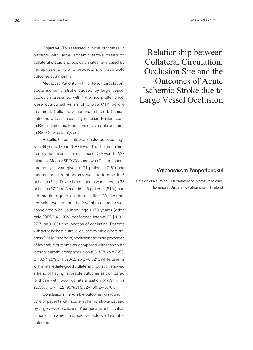**Objective**: To assessed clinical outcomes in patients with large ischemic stroke based on collateral status and occlusion sites, evaluated by multiphase CTA and predictors of favorable outcome at 3 months.

**Method**s: Patients with anterior circulation, acute ischemic stroke caused by large vessel occlusion presented within 4.5 hours after onset were evaluated with multiphase CTA before treatment. Collateralization was studied. Clinical outcome was assessed by modified Rankin scale (mRS) at 3 months. Predictors of favorable outcome (mRS 0-2) was analyzed.

**Results**:95 patients were included. Mean age was 66 years. Mean NIHSS was 15. The mean time from symptom onset to multiphase CTA was 152.23 minutes. Mean ASPECTS score was 7. Intravenous thrombolysis was given in 71 patients (71%) and mechanical thrombectomy was performed in 5 patients (5%). Favorable outcome was found in 35 patients (37%) at 3 months. 48 patients (51%) had intermediate-good collateralization. Multivariate analysis revealed that the favorable outcome was associated with younger age (<70 years) (odds ratio [OR] 7.46, 95% confidence interval [CI] 1.99- 27.7,*p*=0.003) and location of occlusion. Patients with acute ischemic stroke, caused by middle cerebral artery (M1,M2 segment) occlusion had more proportion of favorable outcome as compared with those with internal carotid artery occlusion (53.33% vs 8.82%, OR 6.57, 95%CI 1.326-32.25, *p*=0.021). While patients with intermediate-good collateral circulation showed a trend of having favorable outcome as compared to those with poor collateralization (47.91% vs 25.53%, OR 1.22, 95%CI 0.32-4.60, *p*=0.76).

**Conclusions:**Favorable outcome was found in 37% of patients with acute ischemic stroke caused by large vessel occlusion. Younger age and location of occlusion were the predictive factors of favorable outcome.

Relationship between Collateral Circulation, Occlusion Site and the Outcomes of Acute Ischemic Stroke due to Large Vessel Occlusion

### Vatcharasorn Panpattanakul

Division of Neurology, Department of Internal Medicine, Thammasat University, Pathumthani, Thailand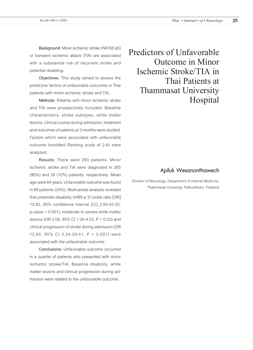**Background:** Minor ischemic stroke (NIHSS ≤5) or transient ischemic attack (TIA) are associated with a substantial risk of recurrent stroke and potential disabling**.**

**Objectives:** This study aimed to assess the predictive factors of unfavorable outcomes in Thai patients with minor ischemic stroke and TIA.

**Methods:** Patients with minor ischemic stroke and TIA were prospectively included. Baseline characteristics, stroke subtypes, white matter lesions, clinical course during admission, treatment and outcomes of patients at 3 months were studied. Factors which were associated with unfavorable outcome (modified Ranking scale of 2-6) were analyzed.

**Results:** There were 293 patients. Minor ischemic stroke and TIA were diagnosed in 265 (90%) and 28 (10%) patients, respectively. Mean age were 64 years. Unfavorable outcome was found in 69 patients (24%). Multivariate analysis revealed that prestroke disability (mRS  $\geq$  3) (odds ratio [OR] 12.82, 95% confidence interval [CI] 2.94-55.55, p-value < 0.001), moderate to severe white matter lesions (OR 2.06, 95% CI 1.05-4.03, P = 0.03) and clinical progression of stroke during admission (OR 12.65, 95% CI 5.34-29.41, P < 0.001) were associated with the unfavorable outcome.

**Conclusions:** Unfavorable outcome occurred in a quarter of patients who presented with minor ischemic stroke/TIA. Baseline disability, white matter lesions and clinical progression during admission were related to the unfavorable outcome.

Predictors of Unfavorable Outcome in Minor Ischemic Stroke/TIA in Thai Patients at Thammasat University Hospital

# Apiluk Wesanonthawech

Division of Neurology, Department of Internal Medicine, Thammasat University, Pathumthani, Thailand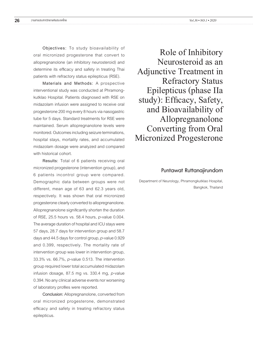**Objectives:** To study bioavailability of oral micronized progesterone that convert to allopregnanolone (an inhibitory neurosteroid) and determine its efficacy and safety in treating Thai patients with refractory status epilepticus (RSE).

**Materials and Methods:** A prospective interventional study was conducted at Phramongkutklao Hospital. Patients diagnosed with RSE on midazolam infusion were assigned to receive oral progesterone 200 mg every 8 hours via nasogastric tube for 5 days. Standard treatments for RSE were maintained. Serum allopregnanolone levels were monitored. Outcomes including seizure terminations, hospital stays, mortality rates, and accumulated midazolam dosage were analyzed and compared with historical cohort.

**Results:** Total of 6 patients receiving oral micronized progesterone (intervention group), and 6 patients incontrol group were compared. Demographic data between groups were not different, mean age of 63 and 62.3 years old, respectively. It was shown that oral micronized progesterone clearly converted to allopregnanolone. Allopregnanolone significantly shorten the duration of RSE, 25.5 hours vs. 58.4 hours, *p*-value 0.004. The average duration of hospital and ICU stays were 57 days, 28.7 days for intervention group and 58.7 days and 44.5 days for control group, *p*-value 0.929 and 0.399, respectively. The mortality rate of intervention group was lower in intervention group, 33.3% vs. 66.7%, *p*-value 0.513. The intervention group required lower total accumulated midazolam infusion dosage, 87.5 mg vs. 330.4 mg, *p*-value 0.394. No any clinical adverse events nor worsening of laboratory profiles were reported.

**Conclusion:** Allopregnanolone, converted from oral micronized progesterone, demonstrated efficacy and safety in treating refractory status epilepticus.

Role of Inhibitory Neurosteroid as an Adjunctive Treatment in Refractory Status Epilepticus (phase IIa study): Efficacy, Safety, and Bioavailability of Allopregnanolone Converting from Oral Micronized Progesterone

#### Puntawat Ruttanajirundorn

Department of Neurology, Phramongkutklao Hospital, Bangkok, Thailand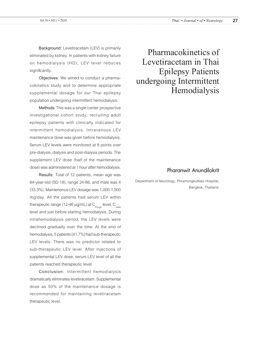**Background:** Levetiracetam (LEV) is primarily eliminated by kidney. In patients with kidney failure on hemodialysis (HD), LEV level reduces significantly.

**Objectives**: We aimed to conduct a pharmacokinetics study and to determine appropriate supplemental dosage for our Thai epilepsy population undergoing intermittent hemodialysis.

**Methods**: This was a single center prospective investigational cohort study; recruiting adult epilepsy patients with clinically indicated for intermittent hemodialysis. Intravenous LEV maintenance dose was given before hemodialysis. Serum LEV levels were monitored at 8 points over pre-dialysis, dialysis and post-dialysis periods. The supplement LEV dose (half of the maintenance dose) was administered at 1 hour after hemodialysis.

Results: Total of 12 patients, mean age was 64-year-old (SD 18), range 24-86, and male was 4 (33.3%). Maintenance LEV dosage was 1,000-1,500 mg/day. All the patients had serum LEV within therapeutic range (12-46  $\mu$ g/mL) at C<sub>trough</sub> level, C<sub>peak</sub> level and just before starting hemodialysis. During intrahemodialysis period, the LEV levels were declined gradually over the time. At the end of hemodialysis, 5 patients (41.7%) had sub-therapeutic LEV levels. There was no predictor related to sub-therapeutic LEV level. After injections of supplemental LEV dose, serum LEV level of all the patients reached therapeutic level.

**Conclusion:** Intermittent hemodialysis dramatically eliminates levetiracetam. Supplemental dose as 50% of the maintenance dosage is recommended for maintaining levetiracetam therapeutic level.

Pharmacokinetics of Levetiracetam in Thai Epilepsy Patients undergoing Intermittent Hemodialysis

# Pharanwit Anundilokrit

Department of Neurology, Phramongkutklao Hospital, Bangkok, Thailand.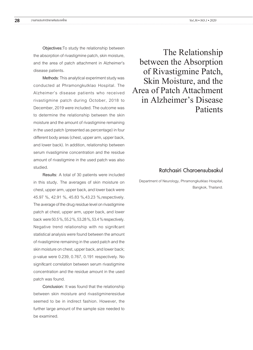**Objectives:**To study the relationship between the absorption of rivastigmine patch, skin moisture, and the area of patch attachment in Alzheimer's disease patients.

**Methods**: This analytical experiment study was conducted at Phramongkutklao Hospital. The Alzheimer's disease patients who received rivastigmine patch during October, 2018 to December, 2019 were included. The outcome was to determine the relationship between the skin moisture and the amount of rivastigmine remaining in the used patch (presented as percentage) in four different body areas (chest, upper arm, upper back, and lower back). In addition, relationship between serum rivastigmine concentration and the residue amount of rivastigmine in the used patch was also studied.

**Results:** A total of 30 patients were included in this study**.** The averages of skin moisture on chest, upper arm, upper back, and lower back were 45.97 %, 42.91 %, 45.83 %,43.23 %,respectively. The average of the drug residue level on rivastigmine patch at chest, upper arm, upper back, and lower back were 50.5 %, 55.2 %, 53.28 %, 53.4 % respectively. Negative trend relationship with no significant statistical analysis were found between the amount of rivastigmine remaining in the used patch and the skin moisture on chest, upper back, and lower back; p-value were 0.239, 0.767, 0.191 respectively. No significant correlation between serum rivastigmine concentration and the residue amount in the used patch was found.

**Conclusion:** It was found that the relationship between skin moisture and rivastigmineresidue seemed to be in indirect fashion. However, the further large amount of the sample size needed to be examined.

The Relationship between the Absorption of Rivastigmine Patch, Skin Moisture, and the Area of Patch Attachment in Alzheimer's Disease Patients

# Ratchasiri Charoensubsakul

Department of Neurology, Phramongkutklao Hospital, Bangkok, Thailand.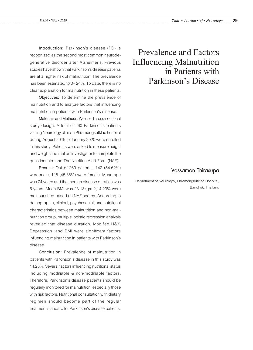**Introduction:** Parkinson's disease (PD) is recognized as the second most common neurodegenerative disorder after Alzheimer's. Previous studies have shown that Parkinson's disease patients are at a higher risk of malnutrition. The prevalence has been estimated to 0– 24%. To date, there is no clear explanation for malnutrition in these patients.

**Objectives:** To determine the prevalence of malnutrition and to analyze factors that influencing malnutrition in patients with Parkinson's disease.

**Materials and Methods:** We used cross-sectional study design. A total of 260 Parkinson's patients visiting Neurology clinic in Phramongkutklao hospital during August 2019 to January 2020 were enrolled in this study. Patients were asked to measure height and weight and met an investigator to complete the questionnaire and The Nutrition Alert Form (NAF).

**Results:** Out of 260 patients, 142 (54.62%) were male, 118 (45.38%) were female. Mean age was 74 years and the median disease duration was 5 years. Mean BMI was 23.13kg/m2,14.23% were malnourished based on NAF scores. According to demographic, clinical, psychosocial, and nutritional characteristics between malnutrition and non-malnutrition group, multiple logistic regression analysis revealed that disease duration, Modified H&Y, Depression, and BMI were significant factors influencing malnutrition in patients with Parkinson's disease

**Conclusion:** Prevalence of malnutrition in patients with Parkinson's disease in this study was 14.23%. Several factors influencing nutritional status including modifiable & non-modifiable factors. Therefore, Parkinson's disease patients should be regularly monitored for malnutrition, especially those with risk factors. Nutritional consultation with dietary regimen should become part of the regular treatment standard for Parkinson's disease patients.

# Prevalence and Factors Influencing Malnutrition in Patients with Parkinson's Disease

### Vassamon Thirasupa

Department of Neurology, Phramongkutklao Hospital, Bangkok, Thailand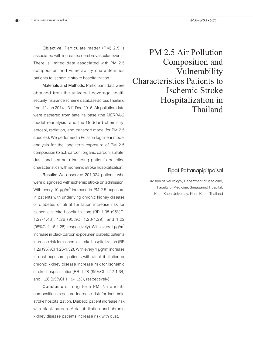**Objective**: Particulate matter (PM) 2.5 is associated with increased cerebrovascular events. There is limited data associated with PM 2.5 composition and vulnerability characteristics patients to ischemic stroke hospitalization.

**Materials and Methods**: Participant data were obtained from the universal coverage health security insurance scheme database across Thailand from  $1<sup>st</sup>$  Jan 2014 –  $31<sup>st</sup>$  Dec 2016. Air pollution data were gathered from satellite base (the MERRA-2 model reanalysis, and the Goddard chemistry, aerosol, radiation, and transport model for PM 2.5 species). We performed a Poisson log linear model analysis for the long-term exposure of PM 2.5 composition (black carbon, organic carbon, sulfate, dust, and sea salt) including patient's baseline characteristics with ischemic stroke hospitalization.

**Results**: We observed 201,024 patients who were diagnosed with ischemic stroke on admission. With every 10  $\mu$ g/m $^3$  increase in PM 2.5 exposure in patients with underlying chronic kidney disease or diabetes or atrial fibrillation increase risk for ischemic stroke hospitalization; (RR 1.35 (95%CI 1.27-1.43), 1.26 (95%CI 1.23-1.29), and 1.22 (95%CI 1.16-1.28), respectively). With every 1  $\mu$ g/m<sup>3</sup> increase in black carbon exposurein diabetic patients increase risk for ischemic stroke hospitalization (RR 1.29 (95%Cl 1.26-1.32). With every 1  $\mu$ g/m<sup>3</sup> increase in dust exposure, patients with atrial fibrillation or chronic kidney disease increase risk for ischemic stroke hospitalization(RR 1.28 (95%CI 1.22-1.34) and 1.26 (95%CI 1.19-1.33), respectively).

**Conclusion**: Long term PM 2.5 and its composition exposure increase risk for ischemic stroke hospitalization. Diabetic patient increase risk with black carbon. Atrial fibrillation and chronic kidney disease patients increase risk with dust.

PM 2.5 Air Pollution Composition and Vulnerability Characteristics Patients to Ischemic Stroke Hospitalization in Thailand

### Pipat Pattanapipitpaisal

Division of Neurology, Department of Medicine, Faculty of Medicine, Srinagarind Hospital, Khon Kaen University, Khon Kaen, Thailand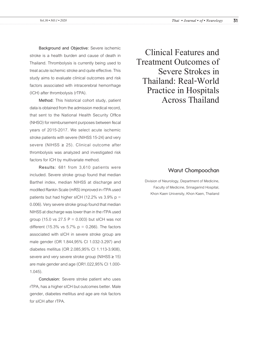**Background and Objective:** Severe ischemic stroke is a health burden and cause of death in Thailand. Thrombolysis is currently being used to treat acute ischemic stroke and quite effective. This study aims to evaluate clinical outcomes and risk factors associated with intracerebral hemorrhage (ICH) after thrombolysis (rTPA).

**Method:** This historical cohort study, patient data is obtained from the admission medical record, that sent to the National Health Security Office (NHSO) for reimbursement purposes between fiscal years of 2015-2017. We select acute ischemic stroke patients with severe (NIHSS 15-24) and very severe (NIHSS ≥ 25). Clinical outcome after thrombolysis was analyzed and investigated risk factors for ICH by multivariate method.

**Results:** 681 from 3,610 patients were included. Severe stroke group found that median Barthel index, median NIHSS at discharge and modified Rankin Scale (mRS) improved in rTPA used patients but had higher sICH (12.2% vs  $3.9\%$  p = 0.006). Very severe stroke group found that median NIHSS at discharge was lower than in the rTPA used group (15.0 vs 27.5  $P = 0.003$ ) but sICH was not different (15.3% vs  $5.7\%$  p = 0.266). The factors associated with sICH in severe stroke group are male gender (OR 1.844,95% CI 1.032-3.297) and diabetes mellitus (OR 2.085,95% CI 1.113-3.908), severe and very severe stroke group (NIHSS ≥ 15) are male gender and age (OR1.022,95% CI 1.000- 1.045).

**Conclusion:** Severe stroke patient who uses rTPA, has a higher sICH but outcomes better. Male gender, diabetes mellitus and age are risk factors for sICH after rTPA.

Clinical Features and Treatment Outcomes of Severe Strokes in Thailand: Real-World Practice in Hospitals Across Thailand

### Warut Chompoochan

Division of Neurology, Department of Medicine, Faculty of Medicine, Srinagarind Hospital, Khon Kaen University, Khon Kaen, Thailand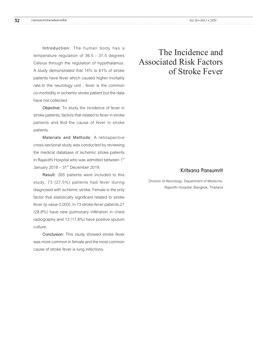**Introduction:** The human body has a temperature regulation of 36.5 - 37.5 degrees Celsius through the regulation of hypothalamus. A study demonstrated that 14% to 61% of stroke patients have fever which caused higher mortality rate.In the neurology unit , fever is the common co-morbidity in ischemic stroke patient but the data have not collected.

**Objective:** To study the incidence of fever in stroke patients**,** factors that related to fever in stroke patients and find the cause of fever in stroke patients.

**Materials and Methods:** A retrospective cross-sectional study was conducted by reviewing the medical database of ischemic stroke patients in Rajavithi Hospital who was admitted between 1<sup>st</sup> January  $2018 - 31<sup>st</sup>$  December 2019.

**Result:** 265 patients were included to this study, 73 (27.5%) patients had fever during diagnosed with ischemic stroke. Female is the only factor that statistically significant related to stroke fever (p value 0.003). In 73 stroke-fever patients,21 (28.8%) have new pulmonary infiltration in chest radiography and 13 (17.8%) have positive sputum culture.

**Conclusion:** This study showed stroke fever was more common in female and the most common cause of stroke fever is lung infections.

# The Incidence and Associated Risk Factors of Stroke Fever

### Kritsana Pansumrit

Division of Neurology, Department of Medicine, Rajavithi Hospital, Bangkok, Thailand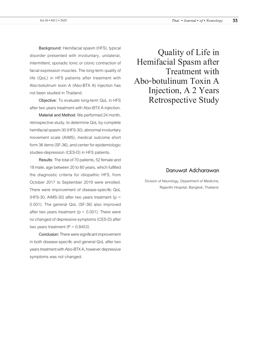**Background:** Hemifacial spasm (HFS), typical disorder presented with involuntary, unilateral, intermittent, sporadic tonic or clonic contraction of facial expression muscles. The long-term quality of life (QoL) in HFS patients after treatment with Abo-botulinum toxin A (Abo-BTX A) injection has not been studied in Thailand.

**Objective:** To evaluate long-term QoL in HFS after two years treatment with Abo-BTX A injection.

**Material and Method:** We performed 24 month, retrospective study, to determine QoL by complete hemifacial spasm-30 (HFS-30), abnormal involuntary movement scale (AIMS), medical outcome short form 36 items (SF-36), and center for epidemiologic studies-depression (CES-D) in HFS patients.

**Results:** The total of 70 patients, 52 female and 18 male, age between 20 to 80 years, which fulfilled the diagnostic criteria for idiopathic HFS, from October 2017 to September 2019 were enrolled. There were improvement of disease-specific QoL (HFS-30, AIMS-30) after two years treatment (p < 0.001). The general QoL (SF-36) also improved after two years treatment ( $p < 0.001$ ). There were no changed of depressive symptoms (CES-D) after two years treatment ( $P = 0.8453$ ).

**Conclusion:** There were significant improvement in both disease-specific and general QoL after two years treatment with Abo-BTX A, however depressive symptoms was not changed.

Quality of Life in Hemifacial Spasm after Treatment with Abo-botulinum Toxin A Injection, A 2 Years Retrospective Study

### Danuwat Adcharawan

Division of Neurology, Department of Medicine, Rajavithi Hospital, Bangkok, Thailand.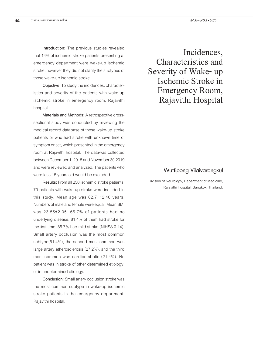**Introduction:** The previous studies revealed that 14% of ischemic stroke patients presenting at emergency department were wake-up ischemic stroke, however they did not clarify the subtypes of those wake-up ischemic stroke.

**Objective:** To study the incidences, characteristics and severity of the patients with wake-up ischemic stroke in emergency room, Rajavithi hospital.

**Materials and Methods:** A retrospective crosssectional study was conducted by reviewing the medical record database of those wake-up stroke patients or who had stroke with unknown time of symptom onset, which presented in the emergency room at Rajavithi hospital. The datawas collected between December 1, 2018 and November 30,2019 and were reviewed and analyzed. The patients who were less 15 years old would be excluded.

**Results:** From all 250 ischemic stroke patients, 70 patients with wake-up stroke were included in this study. Mean age was 62.7±12.40 years. Numbers of male and female were equal. Mean BMI was 23.55±2.05. 65.7% of patients had no underlying disease. 81.4% of them had stroke for the first time. 85.7% had mild stroke (NIHSS 0-14). Small artery occlusion was the most common subtype(51.4%), the second most common was large artery atherosclerosis (27.2%), and the third most common was cardioembolic (21.4%). No patient was in stroke of other determined etiology, or in undetermined etiology.

**Conclusion:** Small artery occlusion stroke was the most common subtype in wake-up ischemic stroke patients in the emergency department, Rajavithi hospital.

Incidences, Characteristics and Severity of Wake- up Ischemic Stroke in Emergency Room, Rajavithi Hospital

### Wuttipong Vilaivarangkul

Division of Neurology, Department of Medicine, Rajavithi Hospital, Bangkok, Thailand.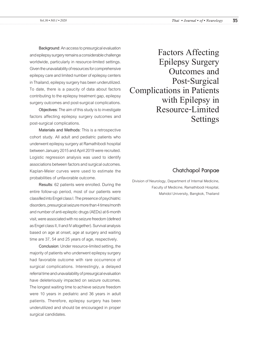**Background**: An access to presurgical evaluation and epilepsy surgery remains a considerable challenge worldwide, particularly in resource-limited settings. Given the unavailability of resources for comprehensive epilepsy care and limited number of epilepsy centers in Thailand, epilepsy surgery has been underutilized. To date, there is a paucity of data about factors contributing to the epilepsy treatment gap, epilepsy surgery outcomes and post-surgical complications.

**Objectives**: The aim of this study is to investigate factors affecting epilepsy surgery outcomes and post-surgical complications.

**Materials and Methods**: This is a retrospective cohort study. All adult and pediatric patients who underwent epilepsy surgery at Ramathibodi hospital between January 2015 and April 2019 were recruited. Logistic regression analysis was used to identify associations between factors and surgical outcomes. Kaplan-Meier curves were used to estimate the probabilities of unfavorable outcome.

**Results**: 62 patients were enrolled. During the entire follow-up period, most of our patients were classified into Engel class I. The presence of psychiatric disorders, presurgical seizure more than 4 times/month and number of anti-epileptic drugs (AEDs) at 6-month visit, were associated with no seizure freedom (defined as Engel class II, II and IV altogether). Survival analysis based on age at onset, age at surgery and waiting time are 37, 54 and 25 years of age, respectively.

**Conclusion**: Under resource-limited setting, the majority of patients who underwent epilepsy surgery had favorable outcome with rare occurrence of surgical complications. Interestingly, a delayed referral time and unavailability of presurgical evaluation have deleteriously impacted on seizure outcomes. The longest waiting time to achieve seizure freedom were 10 years in pediatric and 36 years in adult patients. Therefore, epilepsy surgery has been underutilized and should be encouraged in proper surgical candidates.

Factors Affecting Epilepsy Surgery Outcomes and Post-Surgical Complications in Patients with Epilepsy in Resource-Limited Settings

### Chatchapol Panpae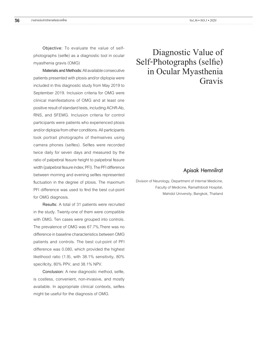**Objective:** To evaluate the value of selfphotographs (selfie) as a diagnostic tool in ocular myasthenia gravis (OMG)

**Materials and Methods:** All available consecutive patients presented with ptosis and/or diplopia were included in this diagnostic study from May 2019 to September 2019. Inclusion criteria for OMG were clinical manifestations of OMG and at least one positive result of standard tests, including AChR-Ab, RNS, and SFEMG. Inclusion criteria for control participants were patients who experienced ptosis and/or diplopia from other conditions. All participants took portrait photographs of themselves using camera phones (selfies). Selfies were recorded twice daily for seven days and measured by the ratio of palpebral fissure height to palpebral fissure width (palpebral fissure index; PFI). The PFI difference between morning and evening selfies represented fluctuation in the degree of ptosis. The maximum PFI difference was used to find the best cut-point for OMG diagnosis.

**Results:** A total of 31 patients were recruited in the study. Twenty-one of them were compatible with OMG. Ten cases were grouped into controls. The prevalence of OMG was 67.7%.There was no difference in baseline characteristics between OMG patients and controls. The best cut-point of PFI difference was 0.080, which provided the highest likelihood ratio (1.9), with 38.1% sensitivity, 80% specificity, 80% PPV, and 38.1% NPV.

**Conclusion:** A new diagnostic method, selfie, is costless, convenient, non-invasive, and mostly available. In appropriate clinical contexts, selfies might be useful for the diagnosis of OMG.

# Diagnostic Value of Self-Photographs (selfie) in Ocular Myasthenia Gravis

### Apisak Hemnilrat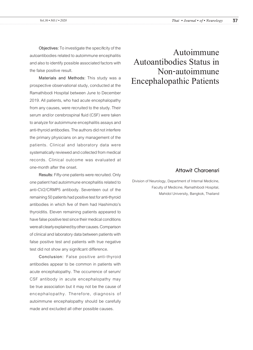**Objectives:** To investigate the specificity of the autoantibodies related to autoimmune encephalitis and also to identify possible associated factors with the false positive result.

**Materials and Methods:** This study was a prospective observational study, conducted at the Ramathibodi Hospital between June to December 2019. All patients, who had acute encephalopathy from any causes, were recruited to the study. Their serum and/or cerebrospinal fluid (CSF) were taken to analyze for autoimmune encephalitis assays and anti-thyroid antibodies. The authors did not interfere the primary physicians on any management of the patients. Clinical and laboratory data were systematically reviewed and collected from medical records. Clinical outcome was evaluated at one-month after the onset.

**Results:** Fifty-one patients were recruited. Only one patient had autoimmune encephalitis related to anti-CV2/CRMP5 antibody. Seventeen out of the remaining 50 patients had positive test for anti-thyroid antibodies in which five of them had Hashimoto's thyroiditis. Eleven remaining patients appeared to have false positive test since their medical conditions were all clearly explained by other causes. Comparison of clinical and laboratory data between patients with false positive test and patients with true negative test did not show any significant difference.

**Conclusion:** False positive anti-thyroid antibodies appear to be common in patients with acute encephalopathy. The occurrence of serum/ CSF antibody in acute encephalopathy may be true association but it may not be the cause of encephalopathy. Therefore, diagnosis of autoimmune encephalopathy should be carefully made and excluded all other possible causes.

# Autoimmune Autoantibodies Status in Non-autoimmune Encephalopathic Patients

# Attawit Charoensri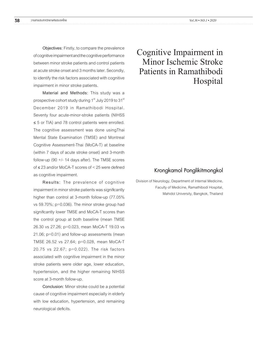**Objectives:** Firstly, to compare the prevalence of cognitive impairment and the cognitive performance between minor stroke patients and control patients at acute stroke onset and 3 months later. Secondly, to identify the risk factors associated with cognitive impairment in minor stroke patients.

**Material and Methods:** This study was a prospective cohort study during 1<sup>st</sup> July 2019 to 31<sup>st</sup> December 2019 in Ramathibodi Hospital. Seventy four acute-minor-stroke patients (NIHSS ≤ 5 or TIA) and 78 control patients were enrolled. The cognitive assessment was done usingThai Mental State Examination (TMSE) and Montreal Cognitive Assessment-Thai (MoCA-T) at baseline (within 7 days of acute stroke onset) and 3-month follow-up (90  $+/-$  14 days after). The TMSE scores of ≤ 23 and/or MoCA-T scores of < 25 were defined as cognitive impairment.

**Results:** The prevalence of cognitive impairment in minor stroke patients was significantly higher than control at 3-month follow-up (77.05% vs 59.70%; p=0.036). The minor stroke group had significantly lower TMSE and MoCA-T scores than the control group at both baseline (mean TMSE 26.30 vs 27.26; p=0.023, mean MoCA-T 19.03 vs 21.06; p=0.01) and follow-up assessments (mean TMSE 26.52 vs 27.64; p=0.028, mean MoCA-T 20.75 vs 22.67; p=0.022). The risk factors associated with cognitive impairment in the minor stroke patients were older age, lower education, hypertension, and the higher remaining NIHSS score at 3-month follow-up.

**Conclusion:** Minor stroke could be a potential cause of cognitive impairment especially in elderly with low education, hypertension, and remaining neurological deficits.

# Cognitive Impairment in Minor Ischemic Stroke Patients in Ramathibodi Hospital

### Krongkamol Ponglikitmongkol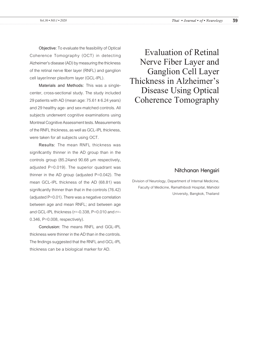**Objective:** To evaluate the feasibility of Optical Coherence Tomography (OCT) in detecting Alzheimer's disease (AD) by measuring the thickness of the retinal nerve fiber layer (RNFL) and ganglion cell layer/inner plexiform layer (GCL-IPL).

**Materials and Methods:** This was a singlecenter, cross-sectional study. The study included 29 patients with AD (mean age:  $75.61 \pm 6.24$  years) and 29 healthy age- and sex-matched controls. All subjects underwent cognitive examinations using Montreal Cognitive Assessment tests. Measurements of the RNFL thickness, as well as GCL-IPL thickness, were taken for all subjects using OCT.

**Results:** The mean RNFL thickness was significantly thinner in the AD group than in the controls group (85.24and 90.68 µm respectively, adjusted P=0.019). The superior quadrant was thinner in the AD group (adjusted P=0.042). The mean GCL-IPL thickness of the AD (68.81) was significantly thinner than that in the controls (76.42) (adjusted P=0.01). There was a negative correlation between age and mean RNFL; and between age and GCL-IPL thickness (r=-0.338, P=0.010 and r=- 0.346, P=0.008, respectively).

**Conclusion:** The means RNFL and GGL-IPL thickness were thinner in the AD than in the controls. The findings suggested that the RNFL and GCL-IPL thickness can be a biological marker for AD.

Evaluation of Retinal Nerve Fiber Layer and Ganglion Cell Layer Thickness in Alzheimer's Disease Using Optical Coherence Tomography

#### Nitchanan Hengsiri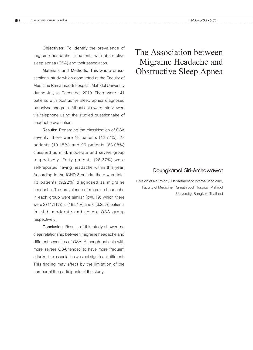**Objectives:** To identify the prevalence of migraine headache in patients with obstructive sleep apnea (OSA) and their association.

**Materials and Methods:** This was a crosssectional study which conducted at the Faculty of Medicine Ramathibodi Hospital, Mahidol University during July to December 2019. There were 141 patients with obstructive sleep apnea diagnosed by polysomnogram. All patients were interviewed via telephone using the studied questionnaire of headache evaluation.

**Results:** Regarding the classification of OSA severity, there were 18 patients (12.77%), 27 patients (19.15%) and 96 patients (68.08%) classified as mild, moderate and severe group respectively. Forty patients (28.37%) were self-reported having headache within this year. According to the ICHD-3 criteria, there were total 13 patients (9.22%) diagnosed as migraine headache. The prevalence of migraine headache in each group were similar (p=0.19) which there were 2 (11.11%), 5 (18.51%) and 6 (6.25%) patients in mild, moderate and severe OSA group respectively.

**Conclusion**: Results of this study showed no clear relationship between migraine headache and different severities of OSA. Although patients with more severe OSA tended to have more frequent attacks, the association was not significant different. This finding may affect by the limitation of the number of the participants of the study.

# The Association between Migraine Headache and Obstructive Sleep Apnea

### Doungkamol Siri-Archawawat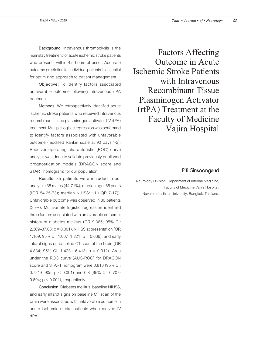**Background**: Intravenous thrombolysis is the mainstay treatment for acute ischemic stroke patients who presents within 4.5 hours of onset. Accurate outcome prediction for individual patients is essential for optimizing approach to patient management.

**Objective**: To identify factors associated unfavorable outcome following intravenous rtPA treatment.

**Methods**: We retrospectively identified acute ischemic stroke patients who received intravenous recombinant tissue plasminogen activator (IV rtPA) treatment. Multiple logistic regression was performed to identify factors associated with unfavorable outcome (modified Rankin scale at 90 days >2). Receiver operating characteristic (ROC) curve analysis was done to validate previously published prognostication models (DRAGON score and START nomogram) for our population.

**Results**: 85 patients were included in our analysis (38 males (44.71%); median age: 65 years (IQR 54.25-73); median NIHSS: 11 (IQR 7-17)). Unfavorable outcome was observed in 30 patients (35%). Multivariate logistic regression identified three factors associated with unfavorable outcome: history of diabetes mellitus (OR 9.365; 95% CI: 2.369–37.03; p = 0.001), NIHSS at presentation (OR 1.109; 95% CI: 1.007–1.221;  $p = 0.036$ ), and early infarct signs on baseline CT scan of the brain (OR 4.834; 95% CI: 1.423–16.413; p = 0.012). Area under the ROC curve (AUC-ROC) for DRAGON score and START nomogram were 0.813 (95% CI: 0.721-0.905; p < 0.001) and 0.8 (95% CI: 0.707- 0.894;  $p < 0.001$ ), respectively.

**Conclusion**: Diabetes mellitus, baseline NIHSS, and early infarct signs on baseline CT scan of the brain were associated with unfavorable outcome in acute ischemic stroke patients who received IV rtPA.

Factors Affecting Outcome in Acute Ischemic Stroke Patients with Intravenous Recombinant Tissue Plasminogen Activator (rtPA) Treatment at the Faculty of Medicine Vajira Hospital

#### Piti Sinsoongsud

Neurology Division, Department of Internal Medicine, Faculty of Medicine Vajira Hospital, Navamindradhiraj University, Bangkok, Thailand.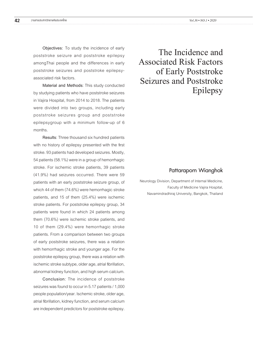**Objectives:** To study the incidence of early poststroke seizure and poststroke epilepsy amongThai people and the differences in early poststroke seizures and poststroke epilepsyassociated risk factors.

**Material and Methods**: This study conducted by studying patients who have poststroke seizures in Vajira Hospital, from 2014 to 2018. The patients were divided into two groups, including early poststroke seizures group and poststroke epilepsygroup with a minimum follow-up of 6 months.

**Results**: Three thousand six hundred patients with no history of epilepsy presented with the first stroke. 93 patients had developed seizures. Mostly, 54 patients (58.1%) were in a group of hemorrhagic stroke. For ischemic stroke patients, 39 patients (41.9%) had seizures occurred. There were 59 patients with an early poststroke seizure group, of which 44 of them (74.6%) were hemorrhagic stroke patients, and 15 of them (25.4%) were ischemic stroke patients. For poststroke epilepsy group, 34 patients were found in which 24 patients among them (70.6%) were ischemic stroke patients, and 10 of them (29.4%) were hemorrhagic stroke patients. From a comparison between two groups of early poststroke seizures, there was a relation with hemorrhagic stroke and younger age. For the poststroke epilepsy group, there was a relation with ischemic stroke subtype, older age, atrial fibrillation, abnormal kidney function, and high serum calcium.

**Conclusion**: The incidence of poststroke seizures was found to occur in 5.17 patients / 1,000 people population/year. Ischemic stroke, older age, atrial fibrillation, kidney function, and serum calcium are independent predictors for poststroke epilepsy.

The Incidence and Associated Risk Factors of Early Poststroke Seizures and Poststroke Epilepsy

### Pattaraporn Wianghok

Neurology Division, Department of Internal Medicine, Faculty of Medicine Vajira Hospital, Navamindradhiraj University, Bangkok, Thailand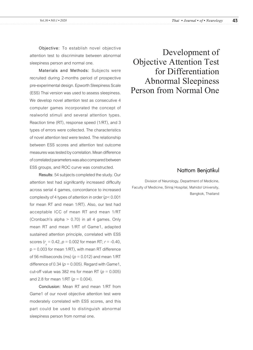**Objective:** To establish novel objective attention test to discriminate between abnormal sleepiness person and normal one.

**Materials and Methods:** Subjects were recruited during 2-months period of prospective pre-experimental design. Epworth Sleepiness Scale (ESS) Thai version was used to assess sleepiness. We develop novel attention test as consecutive 4 computer games incorporated the concept of realworld stimuli and several attention types. Reaction time (RT), response speed (1/RT), and 3 types of errors were collected. The characteristics of novel attention test were tested. The relationship between ESS scores and attention test outcome measures was tested by correlation. Mean difference of correlated parameters was also compared between ESS groups, and ROC curve was constructed.

**Results:** 54 subjects completed the study. Our attention test had significantly increased difficulty across serial 4 games, concordance to increased complexity of 4 types of attention in order (*p*< 0.001 for mean RT and mean 1/RT). Also, our test had acceptable ICC of mean RT and mean 1/RT (Cronbach's alpha > 0.70) in all 4 games. Only mean RT and mean 1/RT of Game1, adapted sustained attention principle, correlated with ESS scores ( $r_s = 0.42$ ,  $p = 0.002$  for mean RT;  $r = -0.40$ ,  $p = 0.003$  for mean 1/RT), with mean RT difference of 56 milliseconds (ms)  $(p = 0.012)$  and mean 1/RT difference of 0.34 ( $p = 0.005$ ). Regard with Game1, cut-off value was 382 ms for mean RT ( $p = 0.005$ ) and 2.8 for mean  $1/RT$  ( $p = 0.004$ ).

**Conclusion:** Mean RT and mean 1/RT from Game1 of our novel objective attention test were moderately correlated with ESS scores, and this part could be used to distinguish abnormal sleepiness person from normal one**.**

Development of Objective Attention Test for Differentiation Abnormal Sleepiness Person from Normal One

#### Nattorn Benjatikul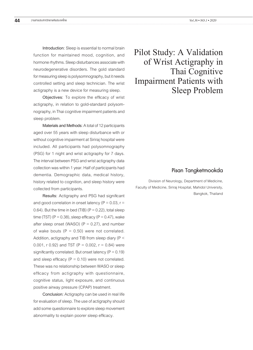**Introduction:** Sleep is essential to normal brain function for maintained mood, cognition, and hormone rhythms. Sleep disturbances associate with neurodegenerative disorders. The gold standard for measuring sleep is polysomnography, but it needs controlled setting and sleep technician. The wrist actigraphy is a new device for measuring sleep.

**Objectives:** To explore the efficacy of wrist actigraphy, in relation to gold-standard polysomnography, in Thai cognitive impairment patients and sleep problem.

**Materials and Methods:** A total of 12 participants aged over 55 years with sleep disturbance with or without cognitive impairment at Siriraj hospital were included. All participants had polysomnography (PSG) for 1 night and wrist actigraphy for 7 days. The interval between PSG and wrist actigraphy data collection was within 1 year. Half of participants had dementia. Demographic data, medical history, history related to cognition, and sleep history were collected from participants.

**Results:** Actigraphy and PSG had significant and good correlation in onset latency ( $P = 0.03$ ,  $r =$ 0.64). But the time in bed (TIB)  $(P = 0.22)$ , total sleep time (TST) ( $P = 0.38$ ), sleep efficacy ( $P = 0.47$ ), wake after sleep onset (WASO) ( $P = 0.27$ ), and number of wake bouts ( $P = 0.50$ ) were not correlated. Addition, actigraphy and TIB from sleep diary (P < 0.001, r 0.92) and TST (P = 0.002,  $r = 0.84$ ) were significantly correlated. But onset latency ( $P = 0.19$ ) and sleep efficacy ( $P = 0.10$ ) were not correlated. These was no relationship between WASO or sleep efficacy from actigraphy with questionnaire, cognitive status, light exposure, and continuous positive airway pressure (CPAP) treatment.

**Conclusion:** Actigraphy can be used in real life for evaluation of sleep. The use of actigraphy should add some questionnaire to explore sleep movement abnormality to explain poorer sleep efficacy.

Pilot Study: A Validation of Wrist Actigraphy in Thai Cognitive Impairment Patients with Sleep Problem

### Pisan Tangketmookda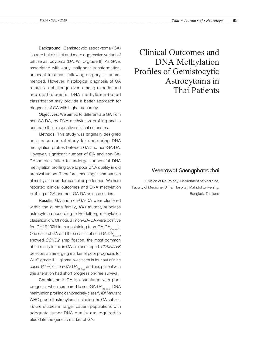**Background:** Gemistocytic astrocytoma (GA) isa rare but distinct and more aggressive variant of diffuse astrocytoma (DA, WHO grade II). As GA is associated with early malignant transformation, adjuvant treatment following surgery is recommended. However, histological diagnosis of GA remains a challenge even among experienced neuropathologists. DNA methylation-based classification may provide a better approach for diagnosis of GA with higher accuracy.

**Objectives:** We aimed to differentiate GA from non-GA-DA, by DNA methylation profiling and to compare their respective clinical outcomes.

**Methods:** This study was originally designed as a case-control study for comparing DNA methylation profiles between GA and non-GA-DA. However, significant number of GA and non-GA-DAsamples failed to undergo successful DNA methylation profiling due to poor DNA quality in old archival tumors. Therefore, meaningful comparison of methylation profiles cannot be performed. We here reported clinical outcomes and DNA methylation profiling of GA and non-GA-DA as case series.

**Results:** GA and non-GA-DA were clustered within the glioma family, *IDH* mutant, subclass astrocytoma according to Heidelberg methylation classification. Of note, all non-GA-DA were positive for IDH1R132H immunostaining (non-GA-DA<sub>IDHmut</sub>). One case of GA and three cases of non-GA-DA<sub>IDHmut</sub> showed *CCND2* amplification, the most common abnormality found in GA in a prior report. *CDKN2A/B* deletion, an emerging marker of poor prognosis for WHO grade II-III glioma, was seen in four out of nine cases (44%) of non-GA- DA<sub>IDHmut</sub> and one patient with this alteration had short progression-free survival.

**Conclusions:** GA is associated with poor prognosis when compared to non-GA-DA<sub>IDHmut</sub>. DNA methylation profiling can precisely classify *IDH-*mutant WHO grade II astrocytoma including the GA subset. Future studies in larger patient populations with adequate tumor DNA quality are required to elucidate the genetic marker of GA.

Clinical Outcomes and DNA Methylation Profiles of Gemistocytic Astrocytoma in Thai Patients

### Weerawat Saengphatrachai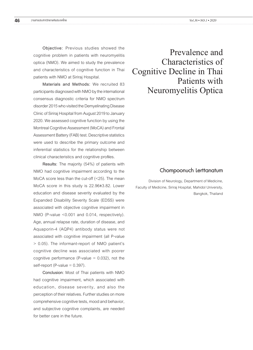and characteristics of cognitive function in Thai patients with NMO at Siriraj Hospital. **Materials and Methods:** We recruited 83

participants diagnosed with NMO by the international consensus diagnostic criteria for NMO spectrum disorder 2015 who visited the Demyelinating Disease Clinic of Siriraj Hospital from August 2019 to January 2020. We assessed cognitive function by using the Montreal Cognitive Assessment (MoCA) and Frontal Assessment Battery (FAB) test. Descriptive statistics were used to describe the primary outcome and inferential statistics for the relationship between clinical characteristics and cognitive profiles.

**Results:** The majority (54%) of patients with NMO had cognitive impairment according to the MoCA score less than the cut-off (<25). The mean MoCA score in this study is 22.96±3.82. Lower education and disease severity evaluated by the Expanded Disability Severity Scale (EDSS) were associated with objective cognitive impairment in NMO (P-value <0.001 and 0.014, respectively). Age, annual relapse rate, duration of disease, and Aquaporin-4 (AQP4) antibody status were not associated with cognitive impairment (all P-value > 0.05). The informant-report of NMO patient's cognitive decline was associated with poorer cognitive performance (P-value  $= 0.032$ ), not the self-report (P-value  $= 0.397$ ).

**Conclusion**: Most of Thai patients with NMO had cognitive impairment, which associated with education, disease severity, and also the perception of their relatives. Further studies on more comprehensive cognitive tests, mood and behavior, and subjective cognitive complaints, are needed for better care in the future.

# Prevalence and Characteristics of Cognitive Decline in Thai Patients with Neuromyelitis Optica

### Chompoonuch Lerttanatum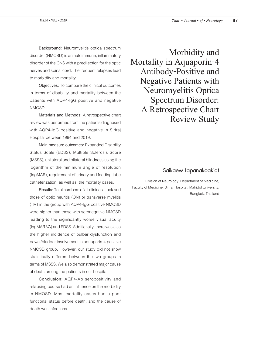**Background: N**euromyelitis optica spectrum disorder (NMOSD) is an autoimmune, inflammatory disorder of the CNS with a predilection for the optic nerves and spinal cord. The frequent relapses lead to morbidity and mortality.

**Objectives:** To compare the clinical outcomes in terms of disability and mortality between the patients with AQP4-IgG positive and negative **NMOSD** 

**Materials and Methods:** A retrospective chart review was performed from the patients diagnosed with AQP4-IgG positive and negative in Siriraj Hospital between 1994 and 2019.

**Main measure outcomes:** Expanded Disability Status Scale (EDSS), Multiple Sclerosis Score (MSSS), unilateral and bilateral blindness using the logarithm of the minimum angle of resolution (logMAR), requirement of urinary and feeding tube catheterization, as well as, the mortality cases.

**Results:** Total numbers of all clinical attack and those of optic neuritis (ON) or transverse myelitis (TM) in the group with AQP4-IgG positive NMOSD were higher than those with seronegative NMOSD leading to the significantly worse visual acuity (logMAR VA) and EDSS. Additionally, there was also the higher incidence of bulbar dysfunction and bowel/bladder involvement in aquaporin-4 positive NMOSD group. However, our study did not show statistically different between the two groups in terms of MSSS. We also demonstrated major cause of death among the patients in our hospital.

**Conclusion:** AQP4-Ab seropositivity and relapsing course had an influence on the morbidity in NMOSD. Most mortality cases had a poor functional status before death, and the cause of death was infections.

Morbidity and Mortality in Aquaporin-4 Antibody-Positive and Negative Patients with Neuromyelitis Optica Spectrum Disorder: A Retrospective Chart Review Study

### Saikaew Lapanakoakiat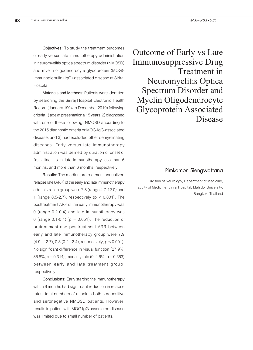**Objectives:** To study the treatment outcomes of early versus late immunotherapy administration in neuromyelitis optica spectrum disorder (NMOSD) and myelin oligodendrocyte glycoprotein (MOG) immunoglobulin (IgG)-associated disease at Siriraj Hospital.

**Materials and Methods:** Patients were identified by searching the Siriraj Hospital Electronic Health Record (January 1994 to December 2019) following criteria 1) age at presentation ≥ 15 years, 2) diagnosed with one of these following; NMOSD according to the 2015 diagnostic criteria or MOG-IgG-associated disease, and 3) had excluded other demyelinating diseases. Early versus late immunotherapy administration was defined by duration of onset of first attack to initiate immunotherapy less than 6 months, and more than 6 months, respectively.

**Results:** The median pretreatment annualized relapse rate (ARR) of the early and late immunotherapy administration group were 7.8 (range 4.7-12.0) and 1 (range 0.5-2.7), respectively ( $p < 0.001$ ). The posttreatment ARR of the early immunotherapy was 0 (range 0.2-0.4) and late immunotherapy was 0 (range  $0.1 - 0.4$ ), (p = 0.651). The reduction of pretreatment and posttreatment ARR between early and late immunotherapy group were 7.9 (4.9 - 12.7), 0.8 (0.2 - 2.4), respectively, p < 0.001). No significant difference in visual function (27.9%, 36.8%,  $p = 0.314$ ), mortality rate  $(0, 4.6\% , p = 0.563)$ between early and late treatment group, respectively.

**Conclusions:** Early starting the immunotherapy within 6 months had significant reduction in relapse rates, total numbers of attack in both seropositive and seronegative NMOSD patients. However, results in patient with MOG IgG associated disease was limited due to small number of patients.

Outcome of Early vs Late Immunosuppressive Drug Treatment in Neuromyelitis Optica Spectrum Disorder and Myelin Oligodendrocyte Glycoprotein Associated Disease

#### Pimkamon Siengwattana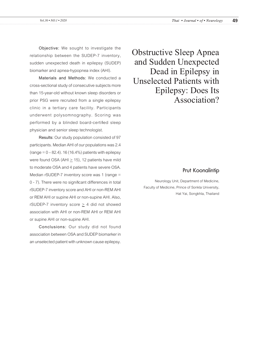**Objective:** We sought to investigate the relationship between the SUDEP-7 inventory, sudden unexpected death in epilepsy (SUDEP) biomarker and apnea-hypopnea index (AHI).

**Materials and Methods:** We conducted a cross-sectional study of consecutive subjects more than 15-year-old without known sleep disorders or prior PSG were recruited from a single epilepsy clinic in a tertiary care facility. Participants underwent polysomnography. Scoring was performed by a blinded board-certified sleep physician and senior sleep technologist.

**Results:** Our study population consisted of 97 participants. Median AHI of our populations was 2.4 (range =  $0 - 82.4$ ). 16 (16.4%) patients with epilepsy were found OSA (AHI  $\geq$  15), 12 patients have mild to moderate OSA and 4 patients have severe OSA. Median rSUDEP-7 inventory score was 1 (range = 0 - 7). There were no significant differences in total rSUDEP-7 inventory score and AHI or non-REM AHI or REM AHI or supine AHI or non-supine AHI. Also, rSUDEP-7 inventory score  $\geq$  4 did not showed association with AHI or non-REM AHI or REM AHI or supine AHI or non-supine AHI.

**Conclusions:** Our study did not found association between OSA and SUDEP biomarker in an unselected patient with unknown cause epilepsy. Obstructive Sleep Apnea and Sudden Unexpected Dead in Epilepsy in Unselected Patients with Epilepsy: Does Its Association?

#### Prut Koonalintip

Neurology Unit, Department of Medicine, Faculty of Medicine, Prince of Sonkla University, Hat Yai, Songkhla, Thailand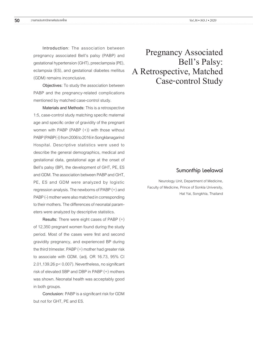**Introduction**: The association between pregnancy associated Bell's palsy (PABP) and gestational hypertension (GHT), preeclampsia (PE), eclampsia (ES), and gestational diabetes mellitus (GDM) remains inconclusive.

**Objectives**: To study the association between PABP and the pregnancy-related complications mentioned by matched case-control study.

**Materials and Methods:** This is a retrospective 1:5, case-control study matching specific maternal age and specific order of gravidity of the pregnant women with PABP (PABP (+)) with those without PABP (PABP(-)) from 2006 to 2016 in Songklanagarind Hospital. Descriptive statistics were used to describe the general demographics, medical and gestational data, gestational age at the onset of Bell's palsy (BP), the development of GHT, PE, ES and GDM. The association between PABP and GHT, PE, ES and GDM were analyzed by logistic regression analysis. The newborns of PABP (+) and PABP (-) mother were also matched in corresponding to their mothers. The differences of neonatal parameters were analyzed by descriptive statistics.

**Results:** There were eight cases of PABP (+) of 12,350 pregnant women found during the study period. Most of the cases were first and second gravidity pregnancy, and experienced BP during the third trimester. PABP (+) mother had greater risk to associate with GDM. (adj. OR 16.73, 95% CI 2.01,139.26 p< 0.007). Nevertheless, no significant risk of elevated SBP and DBP in PABP (+) mothers was shown. Neonatal health was acceptably good in both groups.

**Conclusion:** PABP is a significant risk for GDM but not for GHT, PE and ES.

# Pregnancy Associated Bell's Palsy: A Retrospective, Matched Case-control Study

### Sumonthip Leelawai

Neurology Unit, Department of Medicine, Faculty of Medicine, Prince of Sonkla University, Hat Yai, Songkhla, Thailand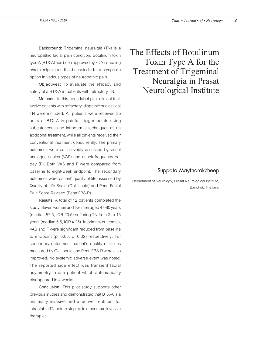**Background:** Trigeminal neuralgia (TN) is a neuropathic facial pain condition. Botulinum toxin type A (BTX-A) has been approved by FDA in treating chronic migraine and has been studied as a therapeutic option in various types of neuropathic pain.

**Objective**s**:** To evaluate the efficacy and safety of a BTX-A in patients with refractory TN.

**Methods:** In this open-label pilot clinical trial, twelve patients with refractory idiopathic or classical TN were included. All patients were received 25 units of BTX-A in painful trigger points using subcutaneous and intradermal techniques as an additional treatment, while all patients received their conventional treatment concurrently. The primary outcomes were pain severity assessed by visual analogue scales (VAS) and attack frequency per day (F). Both VAS and F were compared from baseline to eight-week endpoint. The secondary outcomes were patient' quality of life assessed by Quality of Life Scale (QoL scale) and Penn Facial Pain Score-Revised (Penn FBS-R).

**Results:** A total of 12 patients completed the study. Seven women and five men aged 47-80 years (median 57.5, IQR 20.5) suffering TN from 2 to 15 years (median 5.5, IQR 4.25). In primary outcomes, VAS and F were significant reduced from baseline to endpoint (p=0.05, p=0.02) respectively. For secondary outcomes, patient's quality of life as measured by QoL scale and Penn FBS-R were also improved. No systemic adverse event was noted. The reported side effect was transient facial asymmetry in one patient which automatically disappeared in 4 weeks.

**Conclusion:** This pilot study supports other previous studies and demonstrated that BTX-A is a minimally invasive and effective treatment for intractable TN before step up to other more invasive therapies.

The Effects of Botulinum Toxin Type A for the Treatment of Trigeminal Neuralgia in Prasat Neurological Institute

# Suppata Maytharakcheep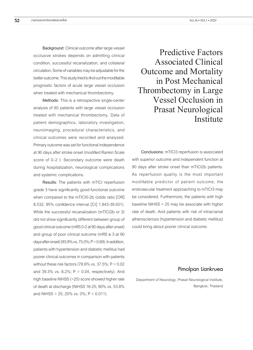**Background:** Clinical outcome after large vessel occlusive strokes depends on admitting clinical condition, successful recanalization, and collateral circulation. Some of variables may be adjustable for the better outcome. This study tried to find out the modifiable prognostic factors of acute large vessel occlusion when treated with mechanical thrombectomy.

**Methods:** This is a retrospective single-center analysis of 60 patients with large vessel occlusion treated with mechanical thrombectomy. Data of patient demographics, laboratory investigation, neuroimaging, procedural characteristics, and clinical outcomes were recorded and analyzed. Primary outcome was set for functional independence at 90 days after stroke onset (modified Rankin Scale score of 0–2 ). Secondary outcome were death during hospitalization, neurological complications and systemic complications.

**Results:** The patients with mTICI reperfusion grade 3 have significantly good functional outcome when compared to the mTICI0-2b (odds ratio [OR] 8.532; 95% confidence interval [CI] 1.843-39.501). While the successful recanalization (mTICI2b or 3) did not show significantly different between group of good clinical outcome (mRS 0-2 at 90 days after onset) and group of poor clinical outcome (mRS  $\geq$  3 at 90 days after onset) (93.8% vs.  $75.0\%$ ;  $P = 0.69$ ). In addition, patients with hypertension and diabetic mellitus had poorer clinical outcomes in comparison with patients without these risk factors (78.6% vs. 37.5%;  $P = 0.02$ and 39.3% vs.  $6.2\%$ ;  $P = 0.04$ , respectively). And high baseline NIHSS (>25) score showed higher rate of death at discharge (NIHSS 16-25; 80% vs. 53.8% and NIHSS  $> 25$ ; 20% vs. 0%; P = 0.011).

Predictive Factors Associated Clinical Outcome and Mortality in Post Mechanical Thrombectomy in Large Vessel Occlusion in Prasat Neurological Institute

**Conclusions:** mTICI3 reperfusion is associated with superior outcome and independent function at 90 days after stroke onset than mTICI2b patients. As reperfusion quality is the most important modifiable predictor of patient outcome, the endovascular treatment approaching to mTICI3 may be considered. Furthermore, the patients with high baseline NIHSS > 25 may be associate with higher rate of death. And patients with risk of intracranial atherosclerosis (hypertension and diabetic mellitus) could bring about poorer clinical outcome.

#### Pimolpan Liankruea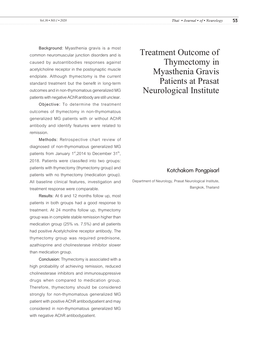**Background:** Myasthenia gravis is a most common neuromuscular junction disorders and is caused by autoantibodies responses against acetylcholine receptor in the postsynaptic muscle endplate. Although thymectomy is the current standard treatment but the benefit in long-term outcomes and in non-thymomatous generalized MG patients with negative AChR antibody are still unclear.

**Objective:** To determine the treatment outcomes of thymectomy in non-thymomatous generalized MG patients with or without AChR antibody and identify features were related to remission.

**Methods:** Retrospective chart review of diagnosed of non-thymomatous generalized MG patients from January  $1<sup>st</sup>$ ,2014 to December  $31<sup>th</sup>$ , 2018. Patients were classified into two groups: patients with thymectomy (thymectomy group) and patients with no thymectomy (medication group). All baseline clinical features, investigation and treatment response were comparable.

**Results:** At 6 and 12 months follow up, most patients in both groups had a good response to treatment. At 24 months follow up, thymectomy group was in complete stable remission higher than medication group (25% vs. 7.5%) and all patients had positive Acetylcholine receptor antibody. The thymectomy group was required prednisone, azathioprine and cholinesterase inhibitor slower than medication group.

**Conclusion:** Thymectomy is associated with a high probability of achieving remission, reduced cholinesterase inhibitors and immunosuppressive drugs when compared to medication group. Therefore, thymectomy should be considered strongly for non-thymomatous generalized MG patient with positive AChR antibodypatient and may considered in non-thymomatous generalized MG with negative AChR antibodypatient.

Treatment Outcome of Thymectomy in Myasthenia Gravis Patients at Prasat Neurological Institute

### Kotchakorn Pongpisarl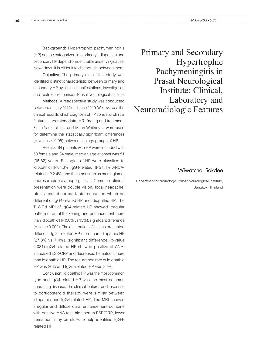**Background:** Hypertrophic pachymeningitis (HP) can be categorized into primary (idiopathic) and secondary HP depend on identifiable underlying cause. Nowadays, it is difficult to distinguish between them.

**Objective:** The primary aim of this study was identified distinct characteristic between primary and secondary HP by clinical manifestations, investigation and treatment response in Prasat Neurological Institute.

**Methods:** A retrospective study was conducted between January 2012 until June 2019. We reviewed the clinical records which diagnosis of HP consist of clinical features, laboratory data, MRI finding and treatment. Fisher's exact test and Mann-Whitney U were used for determine the statistically significant differences (p-values < 0.05) between etiology groups of HP.

**Results:** 84 patients with HP were included with 50 female and 34 male, median age at onset was 51 (38-62) years. Etiologies of HP were classified to idiopathic HP 64.3%, IgG4-related HP 21.4%, ANCArelated HP 2.4%, and the other such as meningioma, neurosarcoidosis, aspergillosis. Common clinical presentation were double vision, focal headache, ptosis and abnormal facial sensation which no different of IgG4-related HP and idiopathic HP. The T1WGd MRI of IgG4-related HP showed irregular pattern of dural thickening and enhancement more than idiopathic HP (50% vs 13%), significant difference (p-value 0.002). The distribution of lesions presented diffuse in IgG4-related HP more than idiopathic HP (27.8% vs 7.4%), significant difference (p-value 0.031).IgG4-related HP showed positive of ANA, increased ESR/CRP and decreased hematocrit more than idiopathic HP. The recurrence rate of idiopathic HP was 26% and IgG4-related HP was 22%.

**Conclusion:** Idiopathic HP was the most common type and IgG4-related HP was the most common coexisting disease. The clinical features and response to corticosteroid therapy were similar between idiopathic and IgG4-related HP. The MRI showed irregular and diffuse dural enhancement combine with positive ANA test, high serum ESR/CRP, lower hematocrit may be clues to help identified IgG4 related HP.

Primary and Secondary Hypertrophic Pachymeningitis in Prasat Neurological Institute: Clinical, Laboratory and Neuroradiologic Features

### Wiwatchai Sakdee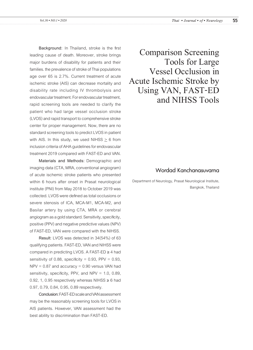**Background:** In Thailand, stroke is the first leading cause of death. Moreover, stroke brings major burdens of disability for patients and their families. the prevalence of stroke of Thai populations age over 65 is 2.7%. Current treatment of acute ischemic stroke (AIS) can decrease mortality and disability rate including IV thrombolysis and endovascular treatment. For endovascular treatment, rapid screening tools are needed to clarify the patient who had large vessel occlusion stroke (LVOS) and rapid transport to comprehensive stroke center for proper management. Now, there are no standard screening tools to predict LVOS in patient with AIS. In this study, we used NIHSS  $\geq 6$  from inclusion criteria of AHA guidelines for endovascular treatment 2019 compared with FAST-ED and VAN.

**Materials and Methods:** Demographic and imaging data (CTA, MRA, conventional angiogram) of acute ischemic stroke patients who presented within 6 hours after onset in Prasat neurological institute (PNI) from May 2018 to October 2019 was collected. LVOS were defined as total occlusions or severe stenosis of ICA, MCA-M1, MCA-M2, and Basilar artery by using CTA, MRA or cerebral angiogram as a gold standard. Sensitivity, specificity, positive (PPV) and negative predictive values (NPV) of FAST-ED, VAN were compared with the NIHSS.

**Result**: LVOS was detected in 34(54%) of 63 qualifying patients. FAST-ED, VAN and NIHSS were compared in predicting LVOS. A FAST-ED ≥ 4 had sensitivity of 0.88, specificity =  $0.93$ , PPV =  $0.93$ ,  $NPV = 0.87$  and accuracy = 0.90 versus VAN had sensitivity, specificity, PPV, and NPV =  $1.0$ , 0.89, 0.92, 1, 0.95 respectively whereas NIHSS  $\geq 6$  had 0.97, 0.79, 0.84, 0.95, 0.89 respectively.

**Conclusion:** FAST-ED scale and VAN assessment may be the reasonably screening tools for LVOS in AIS patients. However, VAN assessment had the best ability to discrimination than FAST-ED.

Comparison Screening Tools for Large Vessel Occlusion in Acute Ischemic Stroke by Using VAN, FAST-ED and NIHSS Tools

### Wordad Kanchanasuvarna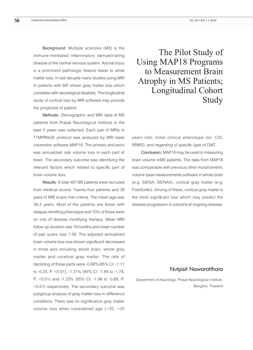**Background:** Multiple sclerosis (MS) is the immune-mediated inflammatory demyelinating disease of the central nervous system. Axonal injury is a prominent pathologic feature leads to white matter loss. In last decade many studies using MRI in patients with MS shown gray matter loss which correlates with neurological disability. The longitudinal study of cortical loss by MRI software may provide the prognosis of patient.

**Methods:** Demographic and MRI data of MS patients from Prasat Neurological Institute in the past 5 years was collected. Each pair of MRIs in T1MPRAGE protocol was analyzed by MRI base volumetric software MAP18. The primary end point was annualized rate volume loss in each part of brain. The secondary outcome was identifying the relevant factors which related to specific part of brain volume loss.

**Results:** A total 487 MS patients were recruited from medical record. Twenty-four patients and 38 pairs of MRI scans met criteria. The mean age was 36.4 years. Most of the patients are Asian with relapse-remitting phenotype and 70% of these were on one of disease modifying therapy. Mean MRI follow up duration was 19 months and mean number of pair scans was 1.58. The adjusted annualized brain volume loss was shown significant decreased in three axis including whole brain, whole gray matter and cerebral gray matter. The rate of declining of those parts were -0.68%(95% CI: -1.11 to -0.25, P: <0.01), -1.31% (95% CI: -1.84 to -1.78, P: <0.01) and -1.33% (95% CI: -1.96 to -0.69, P: <0.01) respectively. The secondary outcome was subgroup analysis of gray matter loss in difference conditions. There was no significance gray matter volume loss when considered age (<35, >35

The Pilot Study of Using MAP18 Programs to Measurement Brain Atrophy in MS Patients; Longitudinal Cohort Study

years old), initial clinical phenotype (ex. CIS, RRMS), and regarding of specific type of DMT.

**Conclusion:** MAP18 may be used in measuring brain volume inMS patients. The data from MAP18 was comparable with previous other morphometric volume base measurements software in whole brain (e.g. SIENA, SIENAX), cortical gray matter (e.g. FreeSurfer). Among of these, cortical gray matter is the most significant loss which may predict the disease progression in subclinical ongoing disease.

#### Nutpisit Nawaratthara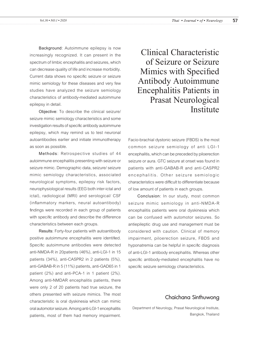**Background**: Autoimmune epilepsy is now increasingly recognized. It can present in the spectrum of limbic encephalitis and seizures, which can decrease quality of life and increase morbidity. Current data shows no specific seizure or seizure mimic semiology for these diseases and very few studies have analyzed the seizure semiology characteristics of antibody-mediated autoimmune epilepsy in detail.

**Objective**: To describe the clinical seizure/ seizure mimic semiology characteristics and some investigation results of specific antibody autoimmune epilepsy, which may remind us to test neuronal autoantibodies earlier and initiate immunotherapy as soon as possible.

**Methods**: Retrospective studies of 44 autoimmune encephalitis presenting with seizure or seizure mimic. Demographic data, seizure/ seizure mimic semiology characteristics, associated neurological symptoms, epilepsy risk factors, neurophysiological results (EEG both inter-ictal and ictal), radiological (MRI) and serological/ CSF (inflammatory markers, neural autoantibody) findings were recorded in each group of patients with specific antibody and describe the difference characteristics between each groups.

**Results**: Forty-four patients with autoantibody positive autoimmune encephalitis were identified. Specific autoimmune antibodies were detected anti-NMDA-R in 20patients (46%), anti-LGI-1 in 15 patients (34%), anti-CASPR2 in 2 patients (5%), anti-GABAB-R in 5 (11%) patients, anti-GAD65 in 1 patient (2%) and anti-PCA-1 in 1 patient (2%). Among anti-NMDAR encephalitis patients, there were only 2 of 20 patients had true seizure, the others presented with seizure mimics. The most characteristic is oral dyskinesia which can mimic oral automotor seizure. Among anti-LGI-1 encephalitis patients, most of them had memory impairment.

Clinical Characteristic of Seizure or Seizure Mimics with Specified Antibody Autoimmune Encephalitis Patients in Prasat Neurological Institute

Facio-brachial dystonic seizure (FBDS) is the most common seizure semiology of anti LGI-1 encephalitis, which can be preceded by piloerection seizure or aura. GTC seizure at onset was found in patients with anti-GABAB-R and anti-CASPR2 encephalitis. Other seizure semiologic characteristics were difficult to differentiate because of low amount of patients in each groups.

**Conclusion**: In our study, most common seizure mimic semiology in anti-NMDA-R encephalitis patients were oral dyskinesia which can be confused with automotor seizures. So antiepileptic drug use and management must be considered with caution. Clinical of memory impairment, piloerection seizure, FBDS and hyponatremia can be helpful in specific diagnosis of anti-LGI-1 antibody encephalitis. Whereas other specific antibody-mediated encephalitis have no specific seizure semiology characteristics.

### Chaichana Sinthuwong